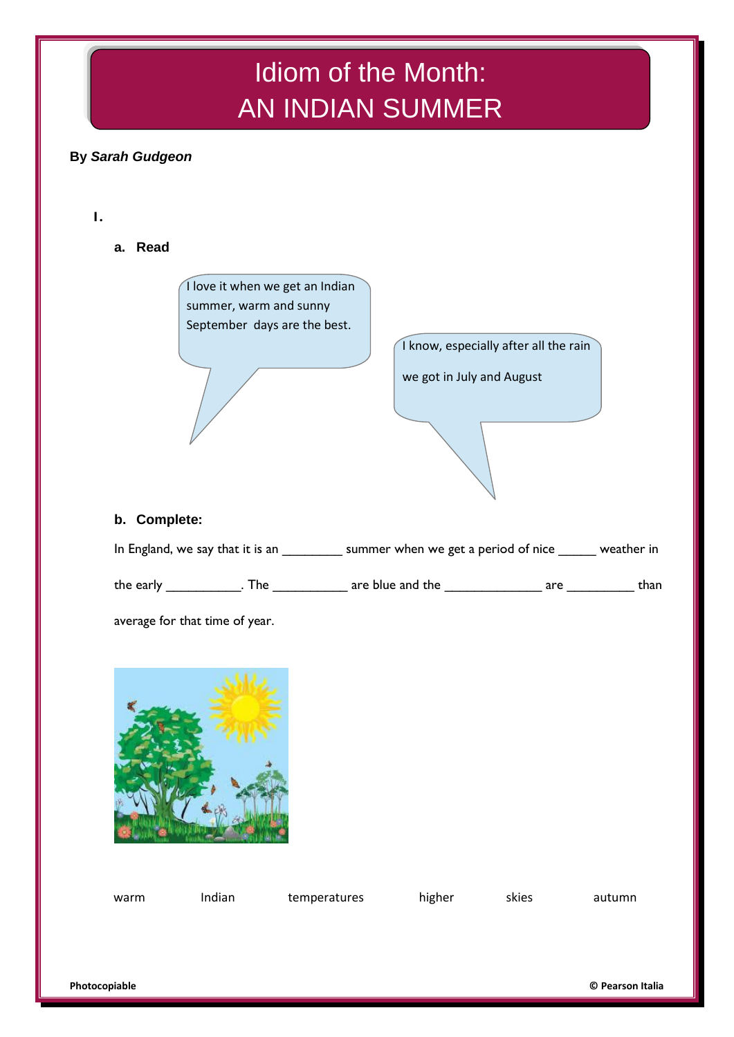# Idiom of the Month: AN INDIAN SUMMER

## **By** *Sarah Gudgeon*

**1.**

**a. Read**



I know, especially after all the rain we got in July and August

### **b. Complete:**

| In England, we say that it is an |     | summer when we get a period of nice |     | weather in |
|----------------------------------|-----|-------------------------------------|-----|------------|
| the early                        | The | are blue and the                    | are | than       |

average for that time of year.



| warm | Indian | temperatures | higher | skies | autumn |
|------|--------|--------------|--------|-------|--------|
|      |        |              |        |       |        |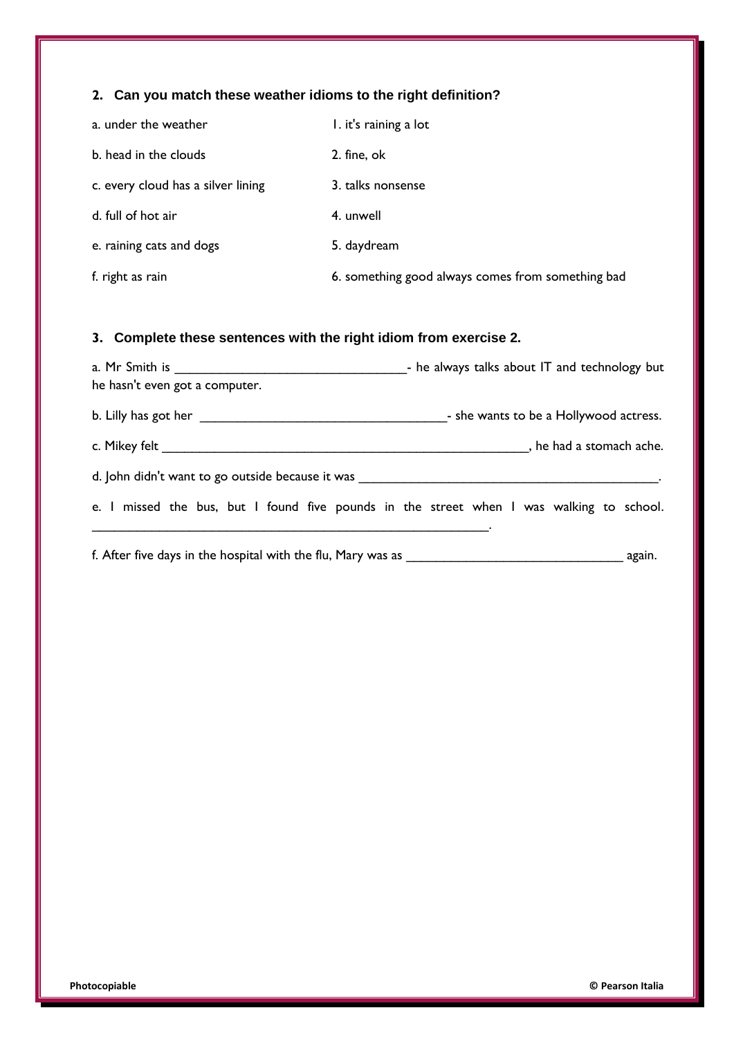## **2. Can you match these weather idioms to the right definition?**

| a. under the weather               | I. it's raining a lot                             |
|------------------------------------|---------------------------------------------------|
| b. head in the clouds              | 2. fine, ok                                       |
| c. every cloud has a silver lining | 3. talks nonsense                                 |
| d. full of hot air                 | 4. unwell                                         |
| e. raining cats and dogs           | 5. daydream                                       |
| f. right as rain                   | 6. something good always comes from something bad |

## **3. Complete these sentences with the right idiom from exercise 2.**

| he hasn't even got a computer. | - he always talks about IT and technology but                                            |
|--------------------------------|------------------------------------------------------------------------------------------|
|                                | - she wants to be a Hollywood actress.                                                   |
|                                | , he had a stomach ache.                                                                 |
|                                |                                                                                          |
|                                | e. I missed the bus, but I found five pounds in the street when I was walking to school. |
|                                |                                                                                          |
|                                |                                                                                          |